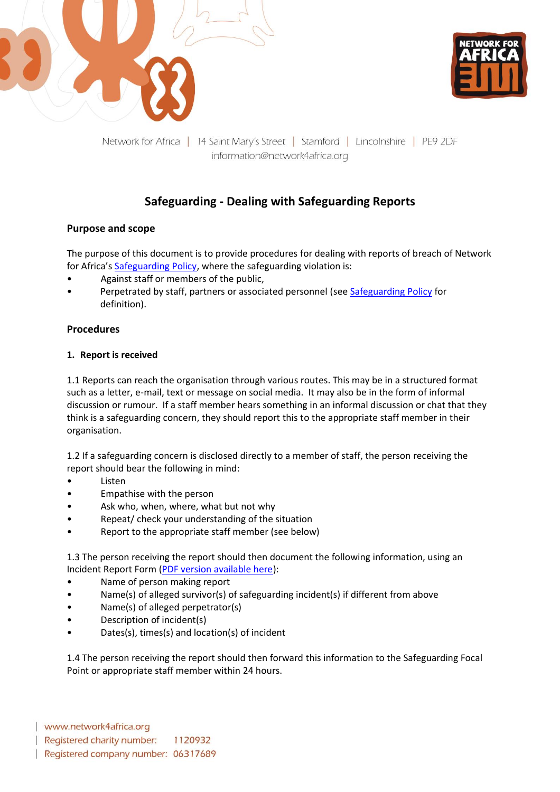



Network for Africa | 14 Saint Mary's Street | Stamford | Lincolnshire | PE9 2DF information@network4africa.org

# **Safeguarding - Dealing with Safeguarding Reports**

# **Purpose and scope**

The purpose of this document is to provide procedures for dealing with reports of breach of Network for Africa's [Safeguarding Policy,](https://network4africa.org/wp-content/uploads/2022/06/safeguarding-policy.pdf) where the safeguarding violation is:

- Against staff or members of the public,
- Perpetrated by staff, partners or associated personnel (se[e Safeguarding Policy](https://network4africa.org/wp-content/uploads/2022/06/safeguarding-policy.pdf) for definition).

# **Procedures**

#### **1. Report is received**

1.1 Reports can reach the organisation through various routes. This may be in a structured format such as a letter, e-mail, text or message on social media. It may also be in the form of informal discussion or rumour. If a staff member hears something in an informal discussion or chat that they think is a safeguarding concern, they should report this to the appropriate staff member in their organisation.

1.2 If a safeguarding concern is disclosed directly to a member of staff, the person receiving the report should bear the following in mind:

- Listen
- Empathise with the person
- Ask who, when, where, what but not why
- Repeat/ check your understanding of the situation
- Report to the appropriate staff member (see below)

1.3 The person receiving the report should then document the following information, using an Incident Report Form [\(PDF version available here\)](https://network4africa.org/wp-content/uploads/2022/06/incident-report-form.pdf):

- Name of person making report
- Name(s) of alleged survivor(s) of safeguarding incident(s) if different from above
- Name(s) of alleged perpetrator(s)
- Description of incident(s)
- Dates(s), times(s) and location(s) of incident

1.4 The person receiving the report should then forward this information to the Safeguarding Focal Point or appropriate staff member within 24 hours.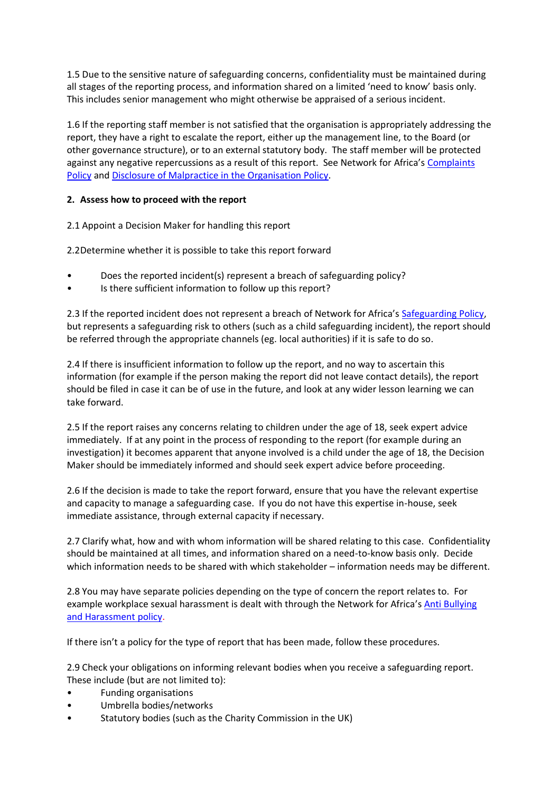1.5 Due to the sensitive nature of safeguarding concerns, confidentiality must be maintained during all stages of the reporting process, and information shared on a limited 'need to know' basis only. This includes senior management who might otherwise be appraised of a serious incident.

1.6 If the reporting staff member is not satisfied that the organisation is appropriately addressing the report, they have a right to escalate the report, either up the management line, to the Board (or other governance structure), or to an external statutory body. The staff member will be protected against any negative repercussions as a result of this report. See Network for Africa's Complaints [Policy](https://network4africa.org/wp-content/uploads/2022/06/safeguarding-complaints-policy.pdf) and [Disclosure of Malpractice in the Organisation](https://network4africa.org/wp-content/uploads/2022/06/disclosure-of-malpractice-policy.pdf) Policy.

# **2. Assess how to proceed with the report**

2.1 Appoint a Decision Maker for handling this report

2.2Determine whether it is possible to take this report forward

- Does the reported incident(s) represent a breach of safeguarding policy?
- Is there sufficient information to follow up this report?

2.3 If the reported incident does not represent a breach of Network for Africa's [Safeguarding Policy,](https://network4africa.org/wp-content/uploads/2022/06/safeguarding-policy.pdf) but represents a safeguarding risk to others (such as a child safeguarding incident), the report should be referred through the appropriate channels (eg. local authorities) if it is safe to do so.

2.4 If there is insufficient information to follow up the report, and no way to ascertain this information (for example if the person making the report did not leave contact details), the report should be filed in case it can be of use in the future, and look at any wider lesson learning we can take forward.

2.5 If the report raises any concerns relating to children under the age of 18, seek expert advice immediately. If at any point in the process of responding to the report (for example during an investigation) it becomes apparent that anyone involved is a child under the age of 18, the Decision Maker should be immediately informed and should seek expert advice before proceeding.

2.6 If the decision is made to take the report forward, ensure that you have the relevant expertise and capacity to manage a safeguarding case. If you do not have this expertise in-house, seek immediate assistance, through external capacity if necessary.

2.7 Clarify what, how and with whom information will be shared relating to this case. Confidentiality should be maintained at all times, and information shared on a need-to-know basis only. Decide which information needs to be shared with which stakeholder – information needs may be different.

2.8 You may have separate policies depending on the type of concern the report relates to. For example workplace sexual harassment is dealt with through the Network for Africa's [Anti Bullying](https://network4africa.org/wp-content/uploads/2022/06/anti-bullying-policy.pdf)  [and Harassment policy.](https://network4africa.org/wp-content/uploads/2022/06/anti-bullying-policy.pdf)

If there isn't a policy for the type of report that has been made, follow these procedures.

2.9 Check your obligations on informing relevant bodies when you receive a safeguarding report. These include (but are not limited to):

- Funding organisations
- Umbrella bodies/networks
- Statutory bodies (such as the Charity Commission in the UK)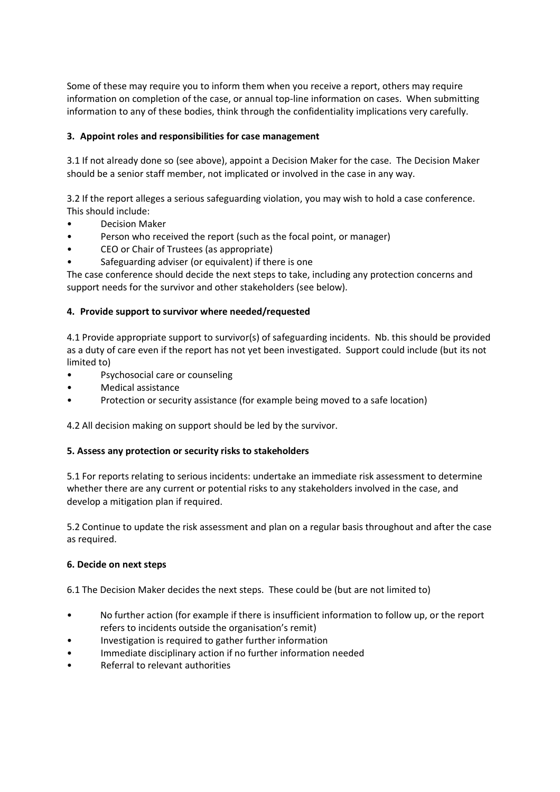Some of these may require you to inform them when you receive a report, others may require information on completion of the case, or annual top-line information on cases. When submitting information to any of these bodies, think through the confidentiality implications very carefully.

#### **3. Appoint roles and responsibilities for case management**

3.1 If not already done so (see above), appoint a Decision Maker for the case. The Decision Maker should be a senior staff member, not implicated or involved in the case in any way.

3.2 If the report alleges a serious safeguarding violation, you may wish to hold a case conference. This should include:

- Decision Maker
- Person who received the report (such as the focal point, or manager)
- CEO or Chair of Trustees (as appropriate)
- Safeguarding adviser (or equivalent) if there is one

The case conference should decide the next steps to take, including any protection concerns and support needs for the survivor and other stakeholders (see below).

#### **4. Provide support to survivor where needed/requested**

4.1 Provide appropriate support to survivor(s) of safeguarding incidents. Nb. this should be provided as a duty of care even if the report has not yet been investigated. Support could include (but its not limited to)

- Psychosocial care or counseling
- Medical assistance
- Protection or security assistance (for example being moved to a safe location)

4.2 All decision making on support should be led by the survivor.

#### **5. Assess any protection or security risks to stakeholders**

5.1 For reports relating to serious incidents: undertake an immediate risk assessment to determine whether there are any current or potential risks to any stakeholders involved in the case, and develop a mitigation plan if required.

5.2 Continue to update the risk assessment and plan on a regular basis throughout and after the case as required.

#### **6. Decide on next steps**

6.1 The Decision Maker decides the next steps. These could be (but are not limited to)

- No further action (for example if there is insufficient information to follow up, or the report refers to incidents outside the organisation's remit)
- Investigation is required to gather further information
- Immediate disciplinary action if no further information needed
- Referral to relevant authorities